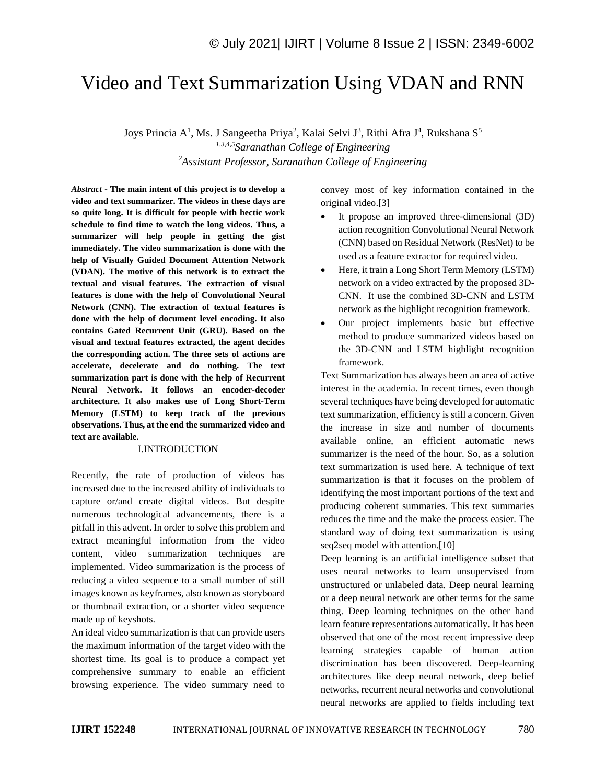# Video and Text Summarization Using VDAN and RNN

Joys Princia A<sup>1</sup>, Ms. J Sangeetha Priya<sup>2</sup>, Kalai Selvi J<sup>3</sup>, Rithi Afra J<sup>4</sup>, Rukshana S<sup>5</sup> *1,3,4,5Saranathan College of Engineering <sup>2</sup>Assistant Professor, Saranathan College of Engineering*

*Abstract -* **The main intent of this project is to develop a video and text summarizer. The videos in these days are so quite long. It is difficult for people with hectic work schedule to find time to watch the long videos. Thus, a summarizer will help people in getting the gist immediately. The video summarization is done with the help of Visually Guided Document Attention Network (VDAN). The motive of this network is to extract the textual and visual features. The extraction of visual features is done with the help of Convolutional Neural Network (CNN). The extraction of textual features is done with the help of document level encoding. It also contains Gated Recurrent Unit (GRU). Based on the visual and textual features extracted, the agent decides the corresponding action. The three sets of actions are accelerate, decelerate and do nothing. The text summarization part is done with the help of Recurrent Neural Network. It follows an encoder-decoder architecture. It also makes use of Long Short-Term Memory (LSTM) to keep track of the previous observations. Thus, at the end the summarized video and text are available.**

#### I.INTRODUCTION

Recently, the rate of production of videos has increased due to the increased ability of individuals to capture or/and create digital videos. But despite numerous technological advancements, there is a pitfall in this advent. In order to solve this problem and extract meaningful information from the video content, video summarization techniques are implemented. Video summarization is the process of reducing a video sequence to a small number of still images known as keyframes, also known as storyboard or thumbnail extraction, or a shorter video sequence made up of keyshots.

An ideal video summarization is that can provide users the maximum information of the target video with the shortest time. Its goal is to produce a compact yet comprehensive summary to enable an efficient browsing experience. The video summary need to convey most of key information contained in the original video.[3]

- It propose an improved three-dimensional (3D) action recognition Convolutional Neural Network (CNN) based on Residual Network (ResNet) to be used as a feature extractor for required video.
- Here, it train a Long Short Term Memory (LSTM) network on a video extracted by the proposed 3D-CNN. It use the combined 3D-CNN and LSTM network as the highlight recognition framework.
- Our project implements basic but effective method to produce summarized videos based on the 3D-CNN and LSTM highlight recognition framework.

Text Summarization has always been an area of active interest in the academia. In recent times, even though several techniques have being developed for automatic text summarization, efficiency is still a concern. Given the increase in size and number of documents available online, an efficient automatic news summarizer is the need of the hour. So, as a solution text summarization is used here. A technique of text summarization is that it focuses on the problem of identifying the most important portions of the text and producing coherent summaries. This text summaries reduces the time and the make the process easier. The standard way of doing text summarization is using seq2seq model with attention.[10]

Deep learning is an artificial intelligence subset that uses neural networks to learn unsupervised from unstructured or unlabeled data. Deep neural learning or a deep neural network are other terms for the same thing. Deep learning techniques on the other hand learn feature representations automatically. It has been observed that one of the most recent impressive deep learning strategies capable of human action discrimination has been discovered. Deep-learning architectures like deep neural network, deep belief networks, recurrent neural networks and convolutional neural networks are applied to fields including text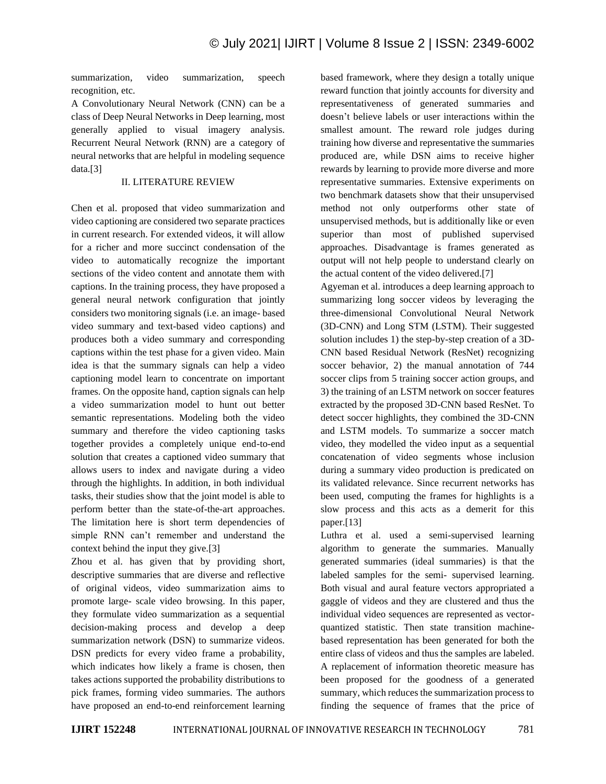summarization, video summarization, speech recognition, etc.

A Convolutionary Neural Network (CNN) can be a class of Deep Neural Networks in Deep learning, most generally applied to visual imagery analysis. Recurrent Neural Network (RNN) are a category of neural networks that are helpful in modeling sequence data.[3]

# II. LITERATURE REVIEW

Chen et al. proposed that video summarization and video captioning are considered two separate practices in current research. For extended videos, it will allow for a richer and more succinct condensation of the video to automatically recognize the important sections of the video content and annotate them with captions. In the training process, they have proposed a general neural network configuration that jointly considers two monitoring signals (i.e. an image- based video summary and text-based video captions) and produces both a video summary and corresponding captions within the test phase for a given video. Main idea is that the summary signals can help a video captioning model learn to concentrate on important frames. On the opposite hand, caption signals can help a video summarization model to hunt out better semantic representations. Modeling both the video summary and therefore the video captioning tasks together provides a completely unique end-to-end solution that creates a captioned video summary that allows users to index and navigate during a video through the highlights. In addition, in both individual tasks, their studies show that the joint model is able to perform better than the state-of-the-art approaches. The limitation here is short term dependencies of simple RNN can't remember and understand the context behind the input they give.[3]

Zhou et al. has given that by providing short, descriptive summaries that are diverse and reflective of original videos, video summarization aims to promote large- scale video browsing. In this paper, they formulate video summarization as a sequential decision-making process and develop a deep summarization network (DSN) to summarize videos. DSN predicts for every video frame a probability, which indicates how likely a frame is chosen, then takes actions supported the probability distributions to pick frames, forming video summaries. The authors have proposed an end-to-end reinforcement learning based framework, where they design a totally unique reward function that jointly accounts for diversity and representativeness of generated summaries and doesn't believe labels or user interactions within the smallest amount. The reward role judges during training how diverse and representative the summaries produced are, while DSN aims to receive higher rewards by learning to provide more diverse and more representative summaries. Extensive experiments on two benchmark datasets show that their unsupervised method not only outperforms other state of unsupervised methods, but is additionally like or even superior than most of published supervised approaches. Disadvantage is frames generated as output will not help people to understand clearly on the actual content of the video delivered.[7]

Agyeman et al. introduces a deep learning approach to summarizing long soccer videos by leveraging the three-dimensional Convolutional Neural Network (3D-CNN) and Long STM (LSTM). Their suggested solution includes 1) the step-by-step creation of a 3D-CNN based Residual Network (ResNet) recognizing soccer behavior, 2) the manual annotation of 744 soccer clips from 5 training soccer action groups, and 3) the training of an LSTM network on soccer features extracted by the proposed 3D-CNN based ResNet. To detect soccer highlights, they combined the 3D-CNN and LSTM models. To summarize a soccer match video, they modelled the video input as a sequential concatenation of video segments whose inclusion during a summary video production is predicated on its validated relevance. Since recurrent networks has been used, computing the frames for highlights is a slow process and this acts as a demerit for this paper.[13]

Luthra et al. used a semi-supervised learning algorithm to generate the summaries. Manually generated summaries (ideal summaries) is that the labeled samples for the semi- supervised learning. Both visual and aural feature vectors appropriated a gaggle of videos and they are clustered and thus the individual video sequences are represented as vectorquantized statistic. Then state transition machinebased representation has been generated for both the entire class of videos and thus the samples are labeled. A replacement of information theoretic measure has been proposed for the goodness of a generated summary, which reduces the summarization process to finding the sequence of frames that the price of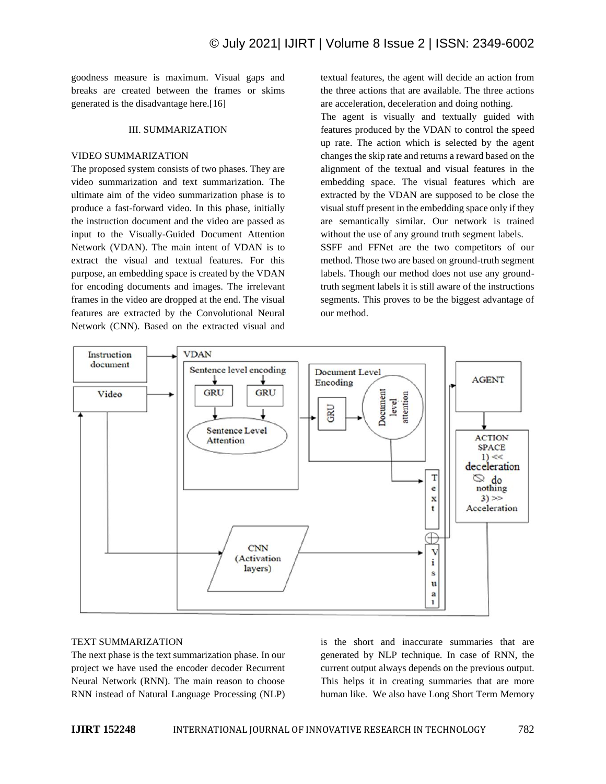goodness measure is maximum. Visual gaps and breaks are created between the frames or skims generated is the disadvantage here.[16]

#### III. SUMMARIZATION

#### VIDEO SUMMARIZATION

The proposed system consists of two phases. They are video summarization and text summarization. The ultimate aim of the video summarization phase is to produce a fast-forward video. In this phase, initially the instruction document and the video are passed as input to the Visually-Guided Document Attention Network (VDAN). The main intent of VDAN is to extract the visual and textual features. For this purpose, an embedding space is created by the VDAN for encoding documents and images. The irrelevant frames in the video are dropped at the end. The visual features are extracted by the Convolutional Neural Network (CNN). Based on the extracted visual and textual features, the agent will decide an action from the three actions that are available. The three actions are acceleration, deceleration and doing nothing.

The agent is visually and textually guided with features produced by the VDAN to control the speed up rate. The action which is selected by the agent changes the skip rate and returns a reward based on the alignment of the textual and visual features in the embedding space. The visual features which are extracted by the VDAN are supposed to be close the visual stuff present in the embedding space only if they are semantically similar. Our network is trained without the use of any ground truth segment labels. SSFF and FFNet are the two competitors of our method. Those two are based on ground-truth segment labels. Though our method does not use any ground-

truth segment labels it is still aware of the instructions segments. This proves to be the biggest advantage of our method.



#### TEXT SUMMARIZATION

The next phase is the text summarization phase. In our project we have used the encoder decoder Recurrent Neural Network (RNN). The main reason to choose RNN instead of Natural Language Processing (NLP)

is the short and inaccurate summaries that are generated by NLP technique. In case of RNN, the current output always depends on the previous output. This helps it in creating summaries that are more human like. We also have Long Short Term Memory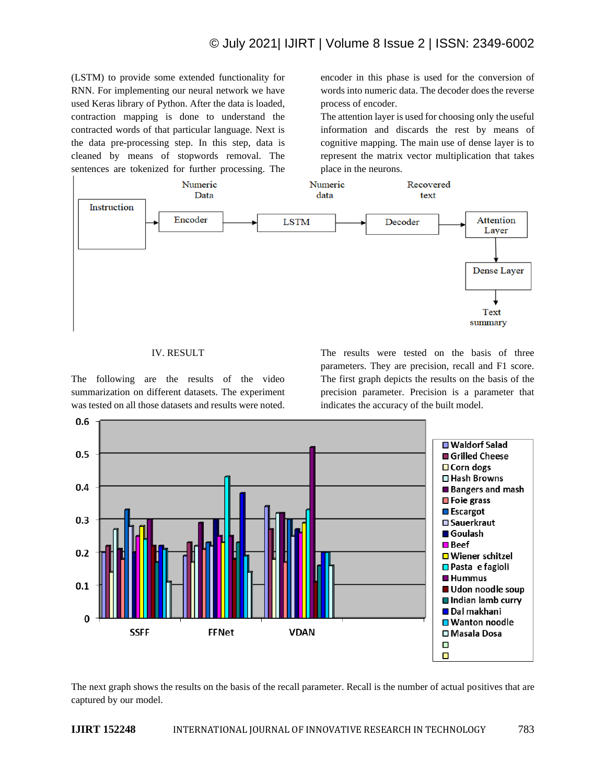(LSTM) to provide some extended functionality for RNN. For implementing our neural network we have used Keras library of Python. After the data is loaded, contraction mapping is done to understand the contracted words of that particular language. Next is the data pre-processing step. In this step, data is cleaned by means of stopwords removal. The sentences are tokenized for further processing. The encoder in this phase is used for the conversion of words into numeric data. The decoder does the reverse process of encoder.

The attention layer is used for choosing only the useful information and discards the rest by means of cognitive mapping. The main use of dense layer is to represent the matrix vector multiplication that takes place in the neurons.



### IV. RESULT

The following are the results of the video summarization on different datasets. The experiment was tested on all those datasets and results were noted. The results were tested on the basis of three parameters. They are precision, recall and F1 score. The first graph depicts the results on the basis of the precision parameter. Precision is a parameter that indicates the accuracy of the built model.



The next graph shows the results on the basis of the recall parameter. Recall is the number of actual positives that are captured by our model.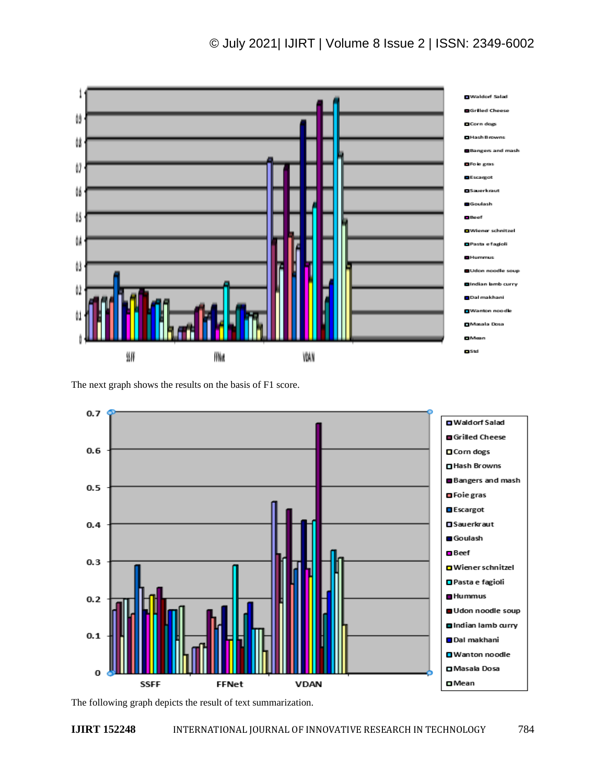# © July 2021| IJIRT | Volume 8 Issue 2 | ISSN: 2349-6002



The next graph shows the results on the basis of F1 score.



The following graph depicts the result of text summarization.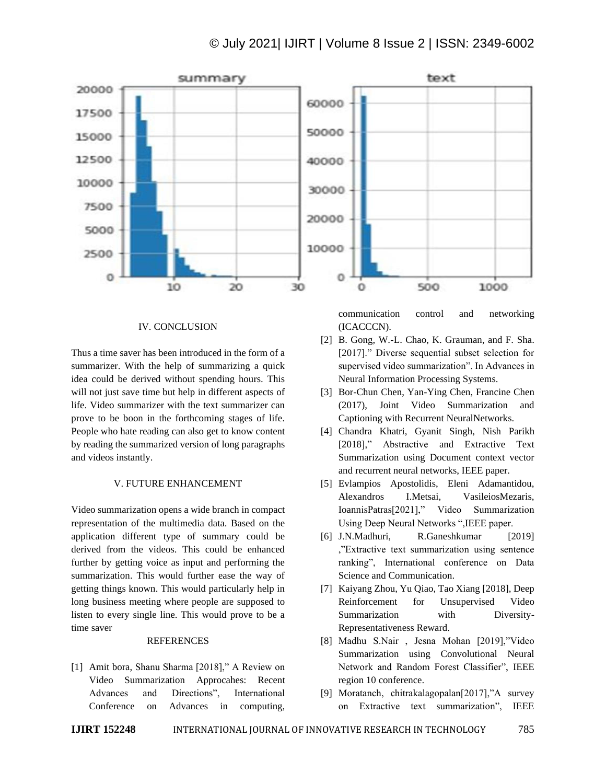

# IV. CONCLUSION

Thus a time saver has been introduced in the form of a summarizer. With the help of summarizing a quick idea could be derived without spending hours. This will not just save time but help in different aspects of life. Video summarizer with the text summarizer can prove to be boon in the forthcoming stages of life. People who hate reading can also get to know content by reading the summarized version of long paragraphs and videos instantly.

#### V. FUTURE ENHANCEMENT

Video summarization opens a wide branch in compact representation of the multimedia data. Based on the application different type of summary could be derived from the videos. This could be enhanced further by getting voice as input and performing the summarization. This would further ease the way of getting things known. This would particularly help in long business meeting where people are supposed to listen to every single line. This would prove to be a time saver

#### REFERENCES

[1] Amit bora, Shanu Sharma [2018]," A Review on Video Summarization Approcahes: Recent Advances and Directions", International Conference on Advances in computing,

communication control and networking (ICACCCN).

- [2] B. Gong, W.-L. Chao, K. Grauman, and F. Sha. [2017]." Diverse sequential subset selection for supervised video summarization". In Advances in Neural Information Processing Systems.
- [3] Bor-Chun Chen, Yan-Ying Chen, Francine Chen (2017), Joint Video Summarization and Captioning with Recurrent NeuralNetworks.
- [4] Chandra Khatri, Gyanit Singh, Nish Parikh [2018]," Abstractive and Extractive Text Summarization using Document context vector and recurrent neural networks, IEEE paper.
- [5] Evlampios Apostolidis, Eleni Adamantidou, Alexandros I.Metsai, VasileiosMezaris, IoannisPatras[2021]," Video Summarization Using Deep Neural Networks ",IEEE paper.
- [6] J.N.Madhuri, R.Ganeshkumar [2019] ,"Extractive text summarization using sentence ranking", International conference on Data Science and Communication.
- [7] Kaiyang Zhou, Yu Qiao, Tao Xiang [2018], Deep Reinforcement for Unsupervised Video Summarization with Diversity-Representativeness Reward.
- [8] Madhu S.Nair , Jesna Mohan [2019],"Video Summarization using Convolutional Neural Network and Random Forest Classifier", IEEE region 10 conference.
- [9] Moratanch, chitrakalagopalan[2017],"A survey on Extractive text summarization", IEEE